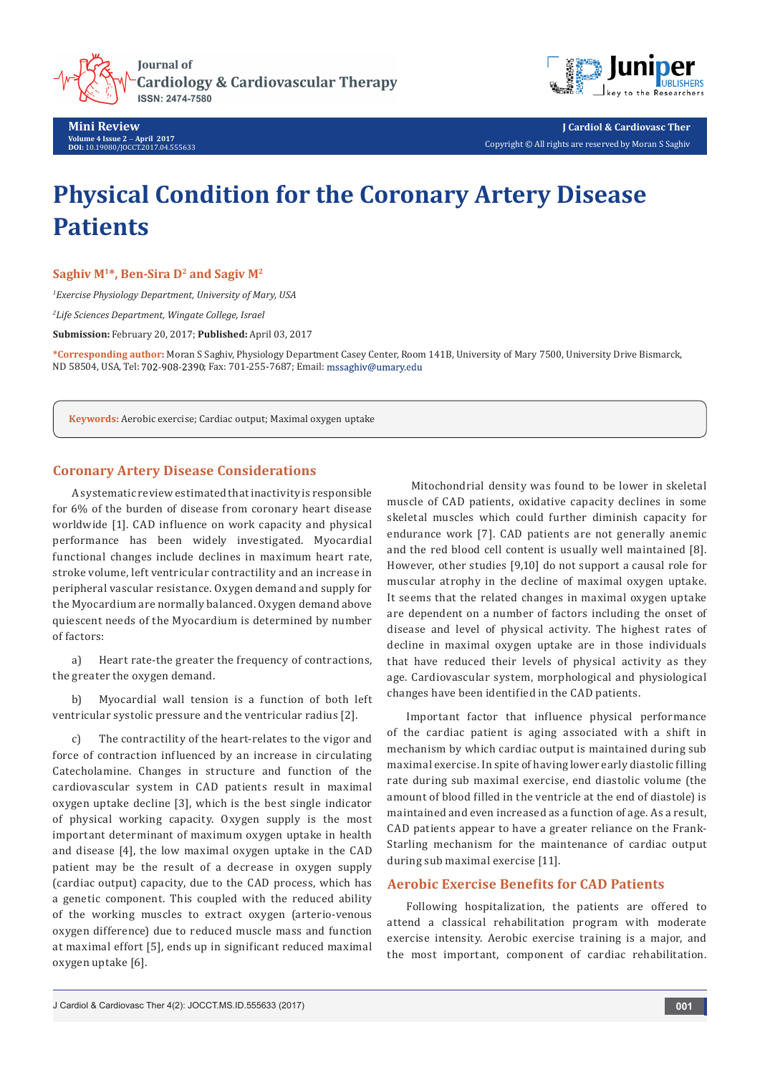

**Mini Review Volume 4 Issue 2** - **April 2017 DOI:** [10.19080/JOCCT.2017.04.555633](http://dx.doi.org/10.19080/JOCCT.2017.04.555633)



**J Cardiol & Cardiovasc Ther** Copyright © All rights are reserved by Moran S Saghiv

# **Physical Condition for the Coronary Artery Disease Patients**

Saghiv M<sup>1\*</sup>, Ben-Sira D<sup>2</sup> and Sagiv M<sup>2</sup>

*1 Exercise Physiology Department, University of Mary, USA*

*2 Life Sciences Department, Wingate College, Israel*

**Submission:** February 20, 2017; **Published:** April 03, 2017

**\*Corresponding author:** Moran S Saghiv, Physiology Department Casey Center, Room 141B, University of Mary 7500, University Drive Bismarck, ND 58504, USA, Tel: 702-908-2390; Fax: 701-255-7687; Email: mssaghiv@umary.edu

**Keywords:** Aerobic exercise; Cardiac output; Maximal oxygen uptake

## **Coronary Artery Disease Considerations**

A systematic review estimated that inactivity is responsible for 6% of the burden of disease from coronary heart disease worldwide [1]. CAD influence on work capacity and physical performance has been widely investigated. Myocardial functional changes include declines in maximum heart rate, stroke volume, left ventricular contractility and an increase in peripheral vascular resistance. Oxygen demand and supply for the Myocardium are normally balanced. Oxygen demand above quiescent needs of the Myocardium is determined by number of factors:

a) Heart rate-the greater the frequency of contractions, the greater the oxygen demand.

b) Myocardial wall tension is a function of both left ventricular systolic pressure and the ventricular radius [2].

c) The contractility of the heart-relates to the vigor and force of contraction influenced by an increase in circulating Catecholamine. Changes in structure and function of the cardiovascular system in CAD patients result in maximal oxygen uptake decline [3], which is the best single indicator of physical working capacity. Oxygen supply is the most important determinant of maximum oxygen uptake in health and disease [4], the low maximal oxygen uptake in the CAD patient may be the result of a decrease in oxygen supply (cardiac output) capacity, due to the CAD process, which has a genetic component. This coupled with the reduced ability of the working muscles to extract oxygen (arterio-venous oxygen difference) due to reduced muscle mass and function at maximal effort [5], ends up in significant reduced maximal oxygen uptake [6].

 Mitochondrial density was found to be lower in skeletal muscle of CAD patients, oxidative capacity declines in some skeletal muscles which could further diminish capacity for endurance work [7]. CAD patients are not generally anemic and the red blood cell content is usually well maintained [8]. However, other studies [9,10] do not support a causal role for muscular atrophy in the decline of maximal oxygen uptake. It seems that the related changes in maximal oxygen uptake are dependent on a number of factors including the onset of disease and level of physical activity. The highest rates of decline in maximal oxygen uptake are in those individuals that have reduced their levels of physical activity as they age. Cardiovascular system, morphological and physiological changes have been identified in the CAD patients.

Important factor that influence physical performance of the cardiac patient is aging associated with a shift in mechanism by which cardiac output is maintained during sub maximal exercise. In spite of having lower early diastolic filling rate during sub maximal exercise, end diastolic volume (the amount of blood filled in the ventricle at the end of diastole) is maintained and even increased as a function of age. As a result, CAD patients appear to have a greater reliance on the Frank-Starling mechanism for the maintenance of cardiac output during sub maximal exercise [11].

# **Aerobic Exercise Benefits for CAD Patients**

Following hospitalization, the patients are offered to attend a classical rehabilitation program with moderate exercise intensity. Aerobic exercise training is a major, and the most important, component of cardiac rehabilitation.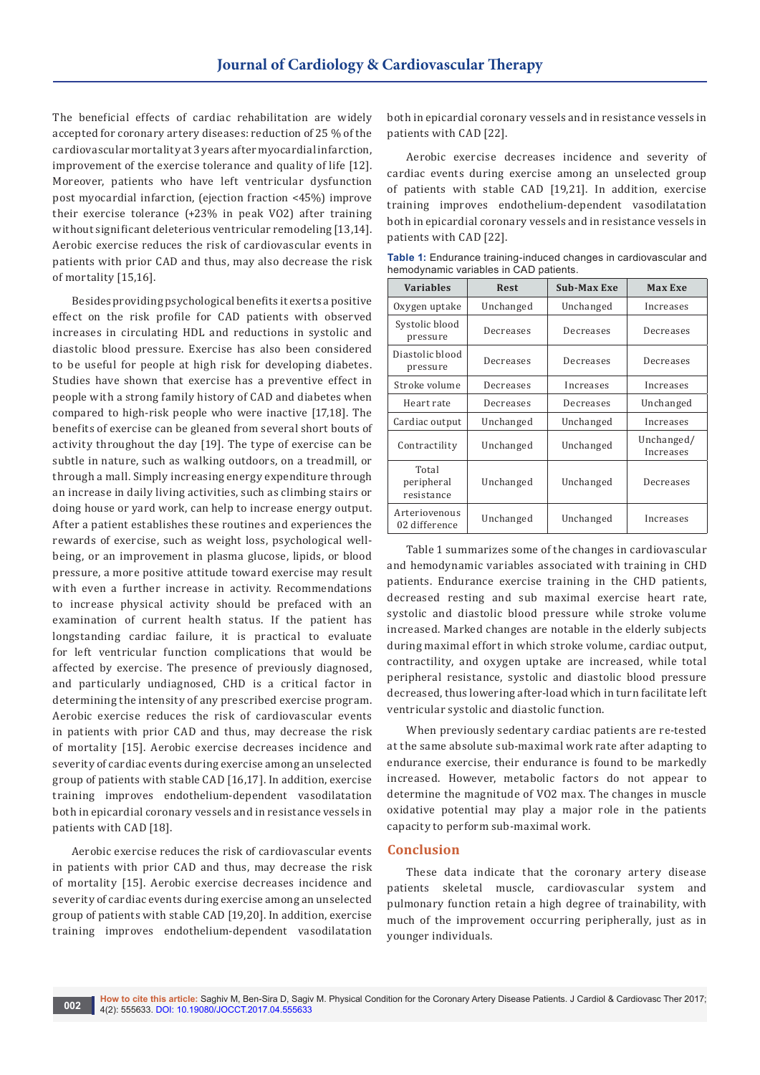The beneficial effects of cardiac rehabilitation are widely accepted for coronary artery diseases: reduction of 25 % of the cardiovascular mortality at 3 years after myocardial infarction, improvement of the exercise tolerance and quality of life [12]. Moreover, patients who have left ventricular dysfunction post myocardial infarction, (ejection fraction <45%) improve their exercise tolerance (+23% in peak VO2) after training without significant deleterious ventricular remodeling [13,14]. Aerobic exercise reduces the risk of cardiovascular events in patients with prior CAD and thus, may also decrease the risk of mortality [15,16].

Besides providing psychological benefits it exerts a positive effect on the risk profile for CAD patients with observed increases in circulating HDL and reductions in systolic and diastolic blood pressure. Exercise has also been considered to be useful for people at high risk for developing diabetes. Studies have shown that exercise has a preventive effect in people with a strong family history of CAD and diabetes when compared to high-risk people who were inactive [17,18]. The benefits of exercise can be gleaned from several short bouts of activity throughout the day [19]. The type of exercise can be subtle in nature, such as walking outdoors, on a treadmill, or through a mall. Simply increasing energy expenditure through an increase in daily living activities, such as climbing stairs or doing house or yard work, can help to increase energy output. After a patient establishes these routines and experiences the rewards of exercise, such as weight loss, psychological wellbeing, or an improvement in plasma glucose, lipids, or blood pressure, a more positive attitude toward exercise may result with even a further increase in activity. Recommendations to increase physical activity should be prefaced with an examination of current health status. If the patient has longstanding cardiac failure, it is practical to evaluate for left ventricular function complications that would be affected by exercise. The presence of previously diagnosed, and particularly undiagnosed, CHD is a critical factor in determining the intensity of any prescribed exercise program. Aerobic exercise reduces the risk of cardiovascular events in patients with prior CAD and thus, may decrease the risk of mortality [15]. Aerobic exercise decreases incidence and severity of cardiac events during exercise among an unselected group of patients with stable CAD [16,17]. In addition, exercise training improves endothelium-dependent vasodilatation both in epicardial coronary vessels and in resistance vessels in patients with CAD [18].

Aerobic exercise reduces the risk of cardiovascular events in patients with prior CAD and thus, may decrease the risk of mortality [15]. Aerobic exercise decreases incidence and severity of cardiac events during exercise among an unselected group of patients with stable CAD [19,20]. In addition, exercise training improves endothelium-dependent vasodilatation

both in epicardial coronary vessels and in resistance vessels in patients with CAD [22].

Aerobic exercise decreases incidence and severity of cardiac events during exercise among an unselected group of patients with stable CAD [19,21]. In addition, exercise training improves endothelium-dependent vasodilatation both in epicardial coronary vessels and in resistance vessels in patients with CAD [22].

**Table 1:** Endurance training-induced changes in cardiovascular and hemodynamic variables in CAD patients.

| <b>Variables</b>                  | <b>Rest</b> | <b>Sub-Max Exe</b> | <b>Max Exe</b>          |
|-----------------------------------|-------------|--------------------|-------------------------|
| Oxygen uptake                     | Unchanged   | Unchanged          | Increases               |
| Systolic blood<br>pressure        | Decreases   | Decreases          | Decreases               |
| Diastolic blood<br>pressure       | Decreases   | Decreases          | Decreases               |
| Stroke volume                     | Decreases   | Increases          | Increases               |
| Heart rate                        | Decreases   | Decreases          | Unchanged               |
| Cardiac output                    | Unchanged   | Unchanged          | Increases               |
| Contractility                     | Unchanged   | Unchanged          | Unchanged/<br>Increases |
| Total<br>peripheral<br>resistance | Unchanged   | Unchanged          | Decreases               |
| Arteriovenous<br>02 difference    | Unchanged   | Unchanged          | Increases               |

Table 1 summarizes some of the changes in cardiovascular and hemodynamic variables associated with training in CHD patients. Endurance exercise training in the CHD patients, decreased resting and sub maximal exercise heart rate, systolic and diastolic blood pressure while stroke volume increased. Marked changes are notable in the elderly subjects during maximal effort in which stroke volume, cardiac output, contractility, and oxygen uptake are increased, while total peripheral resistance, systolic and diastolic blood pressure decreased, thus lowering after-load which in turn facilitate left ventricular systolic and diastolic function.

When previously sedentary cardiac patients are re-tested at the same absolute sub-maximal work rate after adapting to endurance exercise, their endurance is found to be markedly increased. However, metabolic factors do not appear to determine the magnitude of VO2 max. The changes in muscle oxidative potential may play a major role in the patients capacity to perform sub-maximal work.

### **Conclusion**

These data indicate that the coronary artery disease patients skeletal muscle, cardiovascular system and pulmonary function retain a high degree of trainability, with much of the improvement occurring peripherally, just as in younger individuals.